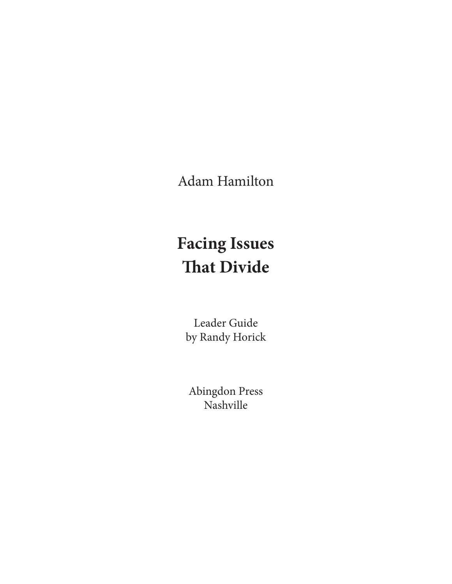Adam Hamilton

# **Facing Issues That Divide**

Leader Guide by Randy Horick

Abingdon Press Nashville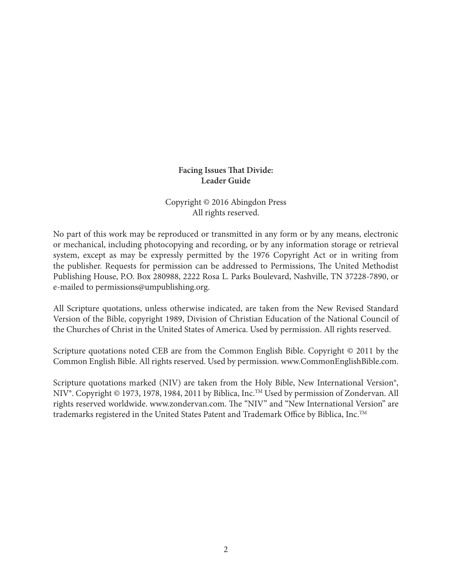#### **Facing Issues That Divide: Leader Guide**

#### Copyright © 2016 Abingdon Press All rights reserved.

No part of this work may be reproduced or transmitted in any form or by any means, electronic or mechanical, including photocopying and recording, or by any information storage or retrieval system, except as may be expressly permitted by the 1976 Copyright Act or in writing from the publisher. Requests for permission can be addressed to Permissions, The United Methodist Publishing House, P.O. Box 280988, 2222 Rosa L. Parks Boulevard, Nashville, TN 37228-7890, or e-mailed to permissions@umpublishing.org.

All Scripture quotations, unless otherwise indicated, are taken from the New Revised Standard Version of the Bible, copyright 1989, Division of Christian Education of the National Council of the Churches of Christ in the United States of America. Used by permission. All rights reserved.

Scripture quotations noted CEB are from the Common English Bible. Copyright © 2011 by the Common English Bible. All rights reserved. Used by permission. www.CommonEnglishBible.com.

Scripture quotations marked (NIV) are taken from the Holy Bible, New International Version<sup>®</sup>, NIV®. Copyright © 1973, 1978, 1984, 2011 by Biblica, Inc.<sup>™</sup> Used by permission of Zondervan. All rights reserved worldwide. www.zondervan.com. The "NIV" and "New International Version" are trademarks registered in the United States Patent and Trademark Office by Biblica, Inc.<sup>™</sup>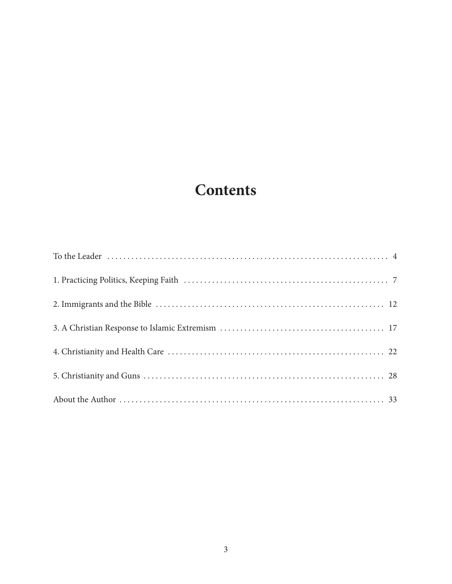## **Contents**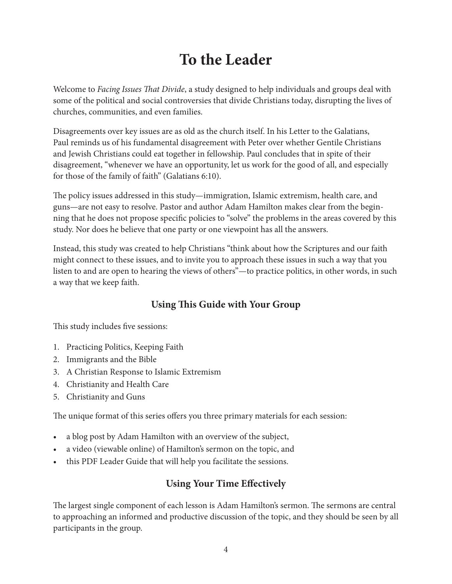## **To the Leader**

Welcome to *Facing Issues That Divide*, a study designed to help individuals and groups deal with some of the political and social controversies that divide Christians today, disrupting the lives of churches, communities, and even families.

Disagreements over key issues are as old as the church itself. In his Letter to the Galatians, Paul reminds us of his fundamental disagreement with Peter over whether Gentile Christians and Jewish Christians could eat together in fellowship. Paul concludes that in spite of their disagreement, "whenever we have an opportunity, let us work for the good of all, and especially for those of the family of faith" (Galatians 6:10).

The policy issues addressed in this study—immigration, Islamic extremism, health care, and guns—are not easy to resolve. Pastor and author Adam Hamilton makes clear from the beginning that he does not propose specific policies to "solve" the problems in the areas covered by this study. Nor does he believe that one party or one viewpoint has all the answers.

Instead, this study was created to help Christians "think about how the Scriptures and our faith might connect to these issues, and to invite you to approach these issues in such a way that you listen to and are open to hearing the views of others"—to practice politics, in other words, in such a way that we keep faith.

## **Using This Guide with Your Group**

This study includes five sessions:

- 1. Practicing Politics, Keeping Faith
- 2. Immigrants and the Bible
- 3. A Christian Response to Islamic Extremism
- 4. Christianity and Health Care
- 5. Christianity and Guns

The unique format of this series offers you three primary materials for each session:

- a blog post by Adam Hamilton with an overview of the subject,
- a video (viewable online) of Hamilton's sermon on the topic, and
- this PDF Leader Guide that will help you facilitate the sessions.

## **Using Your Time Effectively**

The largest single component of each lesson is Adam Hamilton's sermon. The sermons are central to approaching an informed and productive discussion of the topic, and they should be seen by all participants in the group.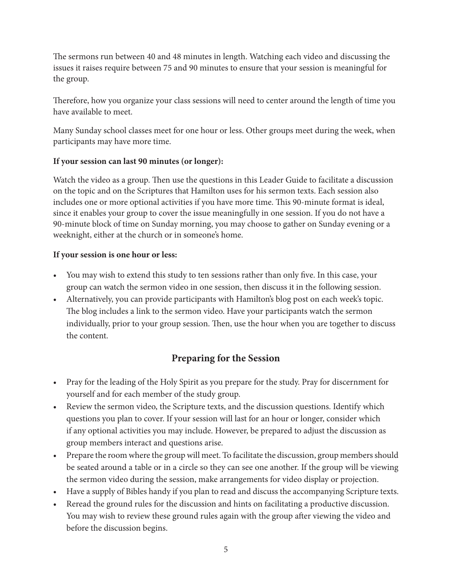The sermons run between 40 and 48 minutes in length. Watching each video and discussing the issues it raises require between 75 and 90 minutes to ensure that your session is meaningful for the group.

Therefore, how you organize your class sessions will need to center around the length of time you have available to meet.

Many Sunday school classes meet for one hour or less. Other groups meet during the week, when participants may have more time.

#### **If your session can last 90 minutes (or longer):**

Watch the video as a group. Then use the questions in this Leader Guide to facilitate a discussion on the topic and on the Scriptures that Hamilton uses for his sermon texts. Each session also includes one or more optional activities if you have more time. This 90-minute format is ideal, since it enables your group to cover the issue meaningfully in one session. If you do not have a 90-minute block of time on Sunday morning, you may choose to gather on Sunday evening or a weeknight, either at the church or in someone's home.

#### **If your session is one hour or less:**

- You may wish to extend this study to ten sessions rather than only five. In this case, your group can watch the sermon video in one session, then discuss it in the following session.
- Alternatively, you can provide participants with Hamilton's blog post on each week's topic. The blog includes a link to the sermon video. Have your participants watch the sermon individually, prior to your group session. Then, use the hour when you are together to discuss the content.

### **Preparing for the Session**

- Pray for the leading of the Holy Spirit as you prepare for the study. Pray for discernment for yourself and for each member of the study group.
- Review the sermon video, the Scripture texts, and the discussion questions. Identify which questions you plan to cover. If your session will last for an hour or longer, consider which if any optional activities you may include. However, be prepared to adjust the discussion as group members interact and questions arise.
- Prepare the room where the group will meet. To facilitate the discussion, group members should be seated around a table or in a circle so they can see one another. If the group will be viewing the sermon video during the session, make arrangements for video display or projection.
- Have a supply of Bibles handy if you plan to read and discuss the accompanying Scripture texts.
- Reread the ground rules for the discussion and hints on facilitating a productive discussion. You may wish to review these ground rules again with the group after viewing the video and before the discussion begins.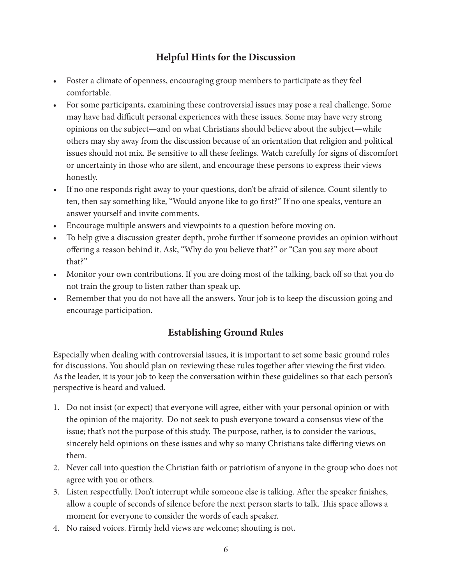## **Helpful Hints for the Discussion**

- Foster a climate of openness, encouraging group members to participate as they feel comfortable.
- For some participants, examining these controversial issues may pose a real challenge. Some may have had difficult personal experiences with these issues. Some may have very strong opinions on the subject—and on what Christians should believe about the subject—while others may shy away from the discussion because of an orientation that religion and political issues should not mix. Be sensitive to all these feelings. Watch carefully for signs of discomfort or uncertainty in those who are silent, and encourage these persons to express their views honestly.
- If no one responds right away to your questions, don't be afraid of silence. Count silently to ten, then say something like, "Would anyone like to go first?" If no one speaks, venture an answer yourself and invite comments.
- Encourage multiple answers and viewpoints to a question before moving on.
- To help give a discussion greater depth, probe further if someone provides an opinion without offering a reason behind it. Ask, "Why do you believe that?" or "Can you say more about that?"
- Monitor your own contributions. If you are doing most of the talking, back off so that you do not train the group to listen rather than speak up.
- Remember that you do not have all the answers. Your job is to keep the discussion going and encourage participation.

## **Establishing Ground Rules**

Especially when dealing with controversial issues, it is important to set some basic ground rules for discussions. You should plan on reviewing these rules together after viewing the first video. As the leader, it is your job to keep the conversation within these guidelines so that each person's perspective is heard and valued.

- 1. Do not insist (or expect) that everyone will agree, either with your personal opinion or with the opinion of the majority. Do not seek to push everyone toward a consensus view of the issue; that's not the purpose of this study. The purpose, rather, is to consider the various, sincerely held opinions on these issues and why so many Christians take differing views on them.
- 2. Never call into question the Christian faith or patriotism of anyone in the group who does not agree with you or others.
- 3. Listen respectfully. Don't interrupt while someone else is talking. After the speaker finishes, allow a couple of seconds of silence before the next person starts to talk. This space allows a moment for everyone to consider the words of each speaker.
- 4. No raised voices. Firmly held views are welcome; shouting is not.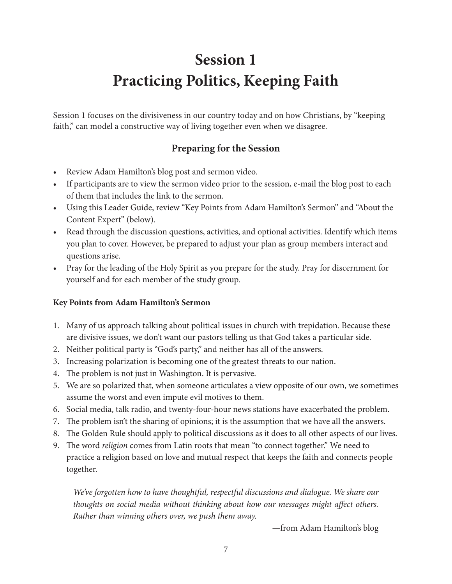## **Session 1 Practicing Politics, Keeping Faith**

Session 1 focuses on the divisiveness in our country today and on how Christians, by "keeping faith," can model a constructive way of living together even when we disagree.

## **Preparing for the Session**

- Review Adam Hamilton's blog post and sermon video.
- If participants are to view the sermon video prior to the session, e-mail the blog post to each of them that includes the link to the sermon.
- Using this Leader Guide, review "Key Points from Adam Hamilton's Sermon" and "About the Content Expert" (below).
- Read through the discussion questions, activities, and optional activities. Identify which items you plan to cover. However, be prepared to adjust your plan as group members interact and questions arise.
- Pray for the leading of the Holy Spirit as you prepare for the study. Pray for discernment for yourself and for each member of the study group.

### **Key Points from Adam Hamilton's Sermon**

- 1. Many of us approach talking about political issues in church with trepidation. Because these are divisive issues, we don't want our pastors telling us that God takes a particular side.
- 2. Neither political party is "God's party," and neither has all of the answers.
- 3. Increasing polarization is becoming one of the greatest threats to our nation.
- 4. The problem is not just in Washington. It is pervasive.
- 5. We are so polarized that, when someone articulates a view opposite of our own, we sometimes assume the worst and even impute evil motives to them.
- 6. Social media, talk radio, and twenty-four-hour news stations have exacerbated the problem.
- 7. The problem isn't the sharing of opinions; it is the assumption that we have all the answers.
- 8. The Golden Rule should apply to political discussions as it does to all other aspects of our lives.
- 9. The word *religion* comes from Latin roots that mean "to connect together." We need to practice a religion based on love and mutual respect that keeps the faith and connects people together.

*We've forgotten how to have thoughtful, respectful discussions and dialogue. We share our thoughts on social media without thinking about how our messages might affect others. Rather than winning others over, we push them away.*

—from Adam Hamilton's blog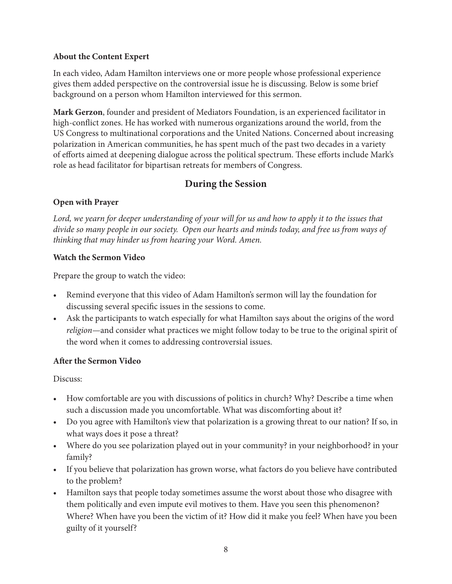#### **About the Content Expert**

In each video, Adam Hamilton interviews one or more people whose professional experience gives them added perspective on the controversial issue he is discussing. Below is some brief background on a person whom Hamilton interviewed for this sermon.

**Mark Gerzon**, founder and president of Mediators Foundation, is an experienced facilitator in high-conflict zones. He has worked with numerous organizations around the world, from the US Congress to multinational corporations and the United Nations. Concerned about increasing polarization in American communities, he has spent much of the past two decades in a variety of efforts aimed at deepening dialogue across the political spectrum. These efforts include Mark's role as head facilitator for bipartisan retreats for members of Congress.

## **During the Session**

#### **Open with Prayer**

*Lord, we yearn for deeper understanding of your will for us and how to apply it to the issues that divide so many people in our society. Open our hearts and minds today, and free us from ways of thinking that may hinder us from hearing your Word. Amen.*

#### **Watch the Sermon Video**

Prepare the group to watch the video:

- Remind everyone that this video of Adam Hamilton's sermon will lay the foundation for discussing several specific issues in the sessions to come.
- Ask the participants to watch especially for what Hamilton says about the origins of the word *religion*—and consider what practices we might follow today to be true to the original spirit of the word when it comes to addressing controversial issues.

#### **After the Sermon Video**

Discuss:

- How comfortable are you with discussions of politics in church? Why? Describe a time when such a discussion made you uncomfortable. What was discomforting about it?
- Do you agree with Hamilton's view that polarization is a growing threat to our nation? If so, in what ways does it pose a threat?
- Where do you see polarization played out in your community? in your neighborhood? in your family?
- If you believe that polarization has grown worse, what factors do you believe have contributed to the problem?
- Hamilton says that people today sometimes assume the worst about those who disagree with them politically and even impute evil motives to them. Have you seen this phenomenon? Where? When have you been the victim of it? How did it make you feel? When have you been guilty of it yourself?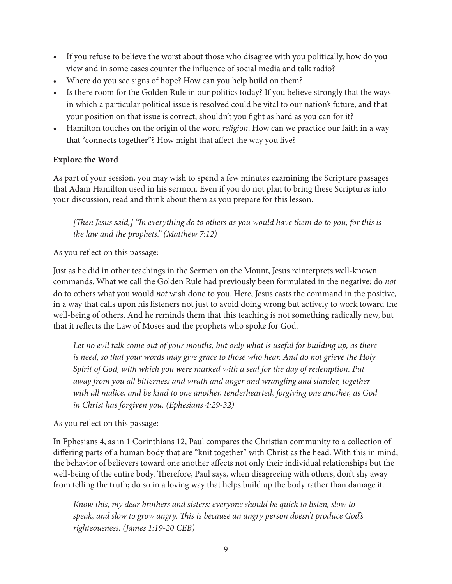- If you refuse to believe the worst about those who disagree with you politically, how do you view and in some cases counter the influence of social media and talk radio?
- Where do you see signs of hope? How can you help build on them?
- Is there room for the Golden Rule in our politics today? If you believe strongly that the ways in which a particular political issue is resolved could be vital to our nation's future, and that your position on that issue is correct, shouldn't you fight as hard as you can for it?
- Hamilton touches on the origin of the word *religion*. How can we practice our faith in a way that "connects together"? How might that affect the way you live?

#### **Explore the Word**

As part of your session, you may wish to spend a few minutes examining the Scripture passages that Adam Hamilton used in his sermon. Even if you do not plan to bring these Scriptures into your discussion, read and think about them as you prepare for this lesson.

*[Then Jesus said,] "In everything do to others as you would have them do to you; for this is the law and the prophets." (Matthew 7:12)*

As you reflect on this passage:

Just as he did in other teachings in the Sermon on the Mount, Jesus reinterprets well-known commands. What we call the Golden Rule had previously been formulated in the negative: do *not* do to others what you would *not* wish done to you. Here, Jesus casts the command in the positive, in a way that calls upon his listeners not just to avoid doing wrong but actively to work toward the well-being of others. And he reminds them that this teaching is not something radically new, but that it reflects the Law of Moses and the prophets who spoke for God.

*Let no evil talk come out of your mouths, but only what is useful for building up, as there is need, so that your words may give grace to those who hear. And do not grieve the Holy Spirit of God, with which you were marked with a seal for the day of redemption. Put away from you all bitterness and wrath and anger and wrangling and slander, together with all malice, and be kind to one another, tenderhearted, forgiving one another, as God in Christ has forgiven you. (Ephesians 4:29-32)*

As you reflect on this passage:

In Ephesians 4, as in 1 Corinthians 12, Paul compares the Christian community to a collection of differing parts of a human body that are "knit together" with Christ as the head. With this in mind, the behavior of believers toward one another affects not only their individual relationships but the well-being of the entire body. Therefore, Paul says, when disagreeing with others, don't shy away from telling the truth; do so in a loving way that helps build up the body rather than damage it.

*Know this, my dear brothers and sisters: everyone should be quick to listen, slow to speak, and slow to grow angry. This is because an angry person doesn't produce God's righteousness. (James 1:19-20 CEB)*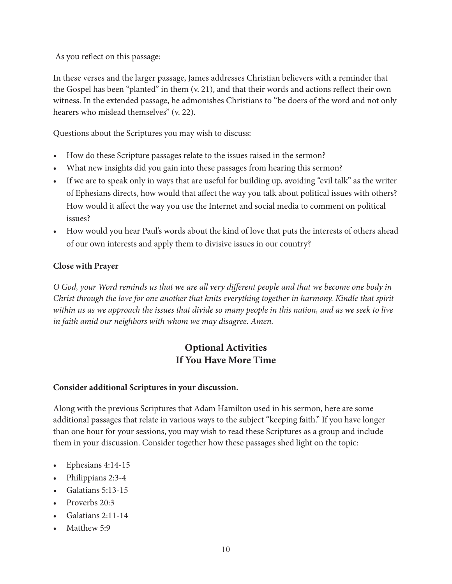As you reflect on this passage:

In these verses and the larger passage, James addresses Christian believers with a reminder that the Gospel has been "planted" in them (v. 21), and that their words and actions reflect their own witness. In the extended passage, he admonishes Christians to "be doers of the word and not only hearers who mislead themselves" (v. 22).

Questions about the Scriptures you may wish to discuss:

- How do these Scripture passages relate to the issues raised in the sermon?
- What new insights did you gain into these passages from hearing this sermon?
- If we are to speak only in ways that are useful for building up, avoiding "evil talk" as the writer of Ephesians directs, how would that affect the way you talk about political issues with others? How would it affect the way you use the Internet and social media to comment on political issues?
- How would you hear Paul's words about the kind of love that puts the interests of others ahead of our own interests and apply them to divisive issues in our country?

#### **Close with Prayer**

*O God, your Word reminds us that we are all very different people and that we become one body in Christ through the love for one another that knits everything together in harmony. Kindle that spirit within us as we approach the issues that divide so many people in this nation, and as we seek to live in faith amid our neighbors with whom we may disagree. Amen.*

## **Optional Activities If You Have More Time**

#### **Consider additional Scriptures in your discussion.**

Along with the previous Scriptures that Adam Hamilton used in his sermon, here are some additional passages that relate in various ways to the subject "keeping faith." If you have longer than one hour for your sessions, you may wish to read these Scriptures as a group and include them in your discussion. Consider together how these passages shed light on the topic:

- Ephesians 4:14-15
- Philippians 2:3-4
- Galatians 5:13-15
- Proverbs 20:3
- Galatians 2:11-14
- Matthew 5:9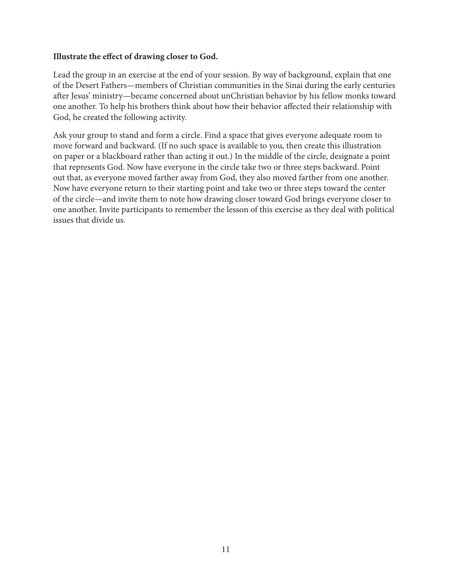#### **Illustrate the effect of drawing closer to God.**

Lead the group in an exercise at the end of your session. By way of background, explain that one of the Desert Fathers—members of Christian communities in the Sinai during the early centuries after Jesus' ministry—became concerned about unChristian behavior by his fellow monks toward one another. To help his brothers think about how their behavior affected their relationship with God, he created the following activity.

Ask your group to stand and form a circle. Find a space that gives everyone adequate room to move forward and backward. (If no such space is available to you, then create this illustration on paper or a blackboard rather than acting it out.) In the middle of the circle, designate a point that represents God. Now have everyone in the circle take two or three steps backward. Point out that, as everyone moved farther away from God, they also moved farther from one another. Now have everyone return to their starting point and take two or three steps toward the center of the circle—and invite them to note how drawing closer toward God brings everyone closer to one another. Invite participants to remember the lesson of this exercise as they deal with political issues that divide us.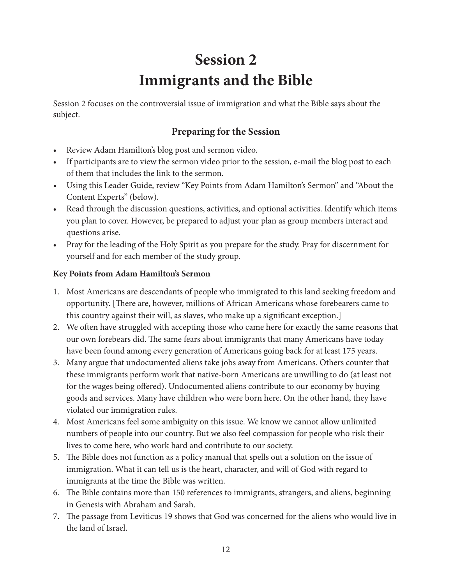## **Session 2 Immigrants and the Bible**

Session 2 focuses on the controversial issue of immigration and what the Bible says about the subject.

## **Preparing for the Session**

- Review Adam Hamilton's blog post and sermon video.
- If participants are to view the sermon video prior to the session, e-mail the blog post to each of them that includes the link to the sermon.
- Using this Leader Guide, review "Key Points from Adam Hamilton's Sermon" and "About the Content Experts" (below).
- Read through the discussion questions, activities, and optional activities. Identify which items you plan to cover. However, be prepared to adjust your plan as group members interact and questions arise.
- Pray for the leading of the Holy Spirit as you prepare for the study. Pray for discernment for yourself and for each member of the study group.

#### **Key Points from Adam Hamilton's Sermon**

- 1. Most Americans are descendants of people who immigrated to this land seeking freedom and opportunity. [There are, however, millions of African Americans whose forebearers came to this country against their will, as slaves, who make up a significant exception.]
- 2. We often have struggled with accepting those who came here for exactly the same reasons that our own forebears did. The same fears about immigrants that many Americans have today have been found among every generation of Americans going back for at least 175 years.
- 3. Many argue that undocumented aliens take jobs away from Americans. Others counter that these immigrants perform work that native-born Americans are unwilling to do (at least not for the wages being offered). Undocumented aliens contribute to our economy by buying goods and services. Many have children who were born here. On the other hand, they have violated our immigration rules.
- 4. Most Americans feel some ambiguity on this issue. We know we cannot allow unlimited numbers of people into our country. But we also feel compassion for people who risk their lives to come here, who work hard and contribute to our society.
- 5. The Bible does not function as a policy manual that spells out a solution on the issue of immigration. What it can tell us is the heart, character, and will of God with regard to immigrants at the time the Bible was written.
- 6. The Bible contains more than 150 references to immigrants, strangers, and aliens, beginning in Genesis with Abraham and Sarah.
- 7. The passage from Leviticus 19 shows that God was concerned for the aliens who would live in the land of Israel.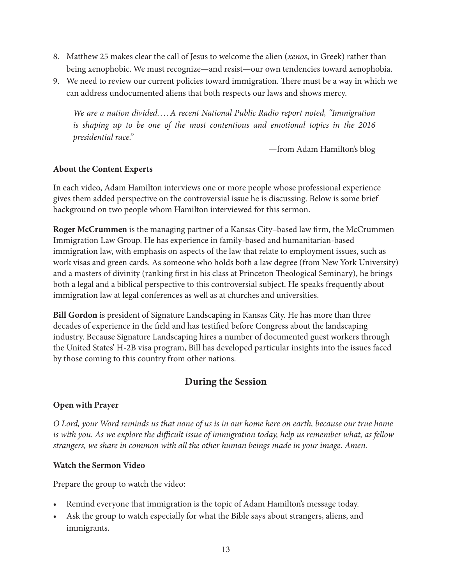- 8. Matthew 25 makes clear the call of Jesus to welcome the alien (*xenos*, in Greek) rather than being xenophobic. We must recognize—and resist—our own tendencies toward xenophobia.
- 9. We need to review our current policies toward immigration. There must be a way in which we can address undocumented aliens that both respects our laws and shows mercy.

*We are a nation divided. . . .A recent National Public Radio report noted, "Immigration is shaping up to be one of the most contentious and emotional topics in the 2016 presidential race."*

—from Adam Hamilton's blog

#### **About the Content Experts**

In each video, Adam Hamilton interviews one or more people whose professional experience gives them added perspective on the controversial issue he is discussing. Below is some brief background on two people whom Hamilton interviewed for this sermon.

**Roger McCrummen** is the managing partner of a Kansas City–based law firm, the McCrummen Immigration Law Group. He has experience in family-based and humanitarian-based immigration law, with emphasis on aspects of the law that relate to employment issues, such as work visas and green cards. As someone who holds both a law degree (from New York University) and a masters of divinity (ranking first in his class at Princeton Theological Seminary), he brings both a legal and a biblical perspective to this controversial subject. He speaks frequently about immigration law at legal conferences as well as at churches and universities.

**Bill Gordon** is president of Signature Landscaping in Kansas City. He has more than three decades of experience in the field and has testified before Congress about the landscaping industry. Because Signature Landscaping hires a number of documented guest workers through the United States' H-2B visa program, Bill has developed particular insights into the issues faced by those coming to this country from other nations.

### **During the Session**

#### **Open with Prayer**

*O Lord, your Word reminds us that none of us is in our home here on earth, because our true home is with you. As we explore the difficult issue of immigration today, help us remember what, as fellow strangers, we share in common with all the other human beings made in your image. Amen.*

#### **Watch the Sermon Video**

Prepare the group to watch the video:

- Remind everyone that immigration is the topic of Adam Hamilton's message today.
- Ask the group to watch especially for what the Bible says about strangers, aliens, and immigrants.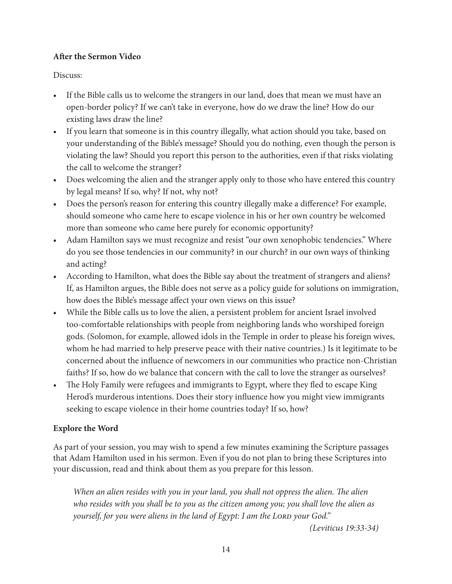#### **After the Sermon Video**

Discuss:

- If the Bible calls us to welcome the strangers in our land, does that mean we must have an open-border policy? If we can't take in everyone, how do we draw the line? How do our existing laws draw the line?
- If you learn that someone is in this country illegally, what action should you take, based on your understanding of the Bible's message? Should you do nothing, even though the person is violating the law? Should you report this person to the authorities, even if that risks violating the call to welcome the stranger?
- Does welcoming the alien and the stranger apply only to those who have entered this country by legal means? If so, why? If not, why not?
- Does the person's reason for entering this country illegally make a difference? For example, should someone who came here to escape violence in his or her own country be welcomed more than someone who came here purely for economic opportunity?
- Adam Hamilton says we must recognize and resist "our own xenophobic tendencies." Where do you see those tendencies in our community? in our church? in our own ways of thinking and acting?
- According to Hamilton, what does the Bible say about the treatment of strangers and aliens? If, as Hamilton argues, the Bible does not serve as a policy guide for solutions on immigration, how does the Bible's message affect your own views on this issue?
- While the Bible calls us to love the alien, a persistent problem for ancient Israel involved too-comfortable relationships with people from neighboring lands who worshiped foreign gods. (Solomon, for example, allowed idols in the Temple in order to please his foreign wives, whom he had married to help preserve peace with their native countries.) Is it legitimate to be concerned about the influence of newcomers in our communities who practice non-Christian faiths? If so, how do we balance that concern with the call to love the stranger as ourselves?
- The Holy Family were refugees and immigrants to Egypt, where they fled to escape King Herod's murderous intentions. Does their story influence how you might view immigrants seeking to escape violence in their home countries today? If so, how?

#### **Explore the Word**

As part of your session, you may wish to spend a few minutes examining the Scripture passages that Adam Hamilton used in his sermon. Even if you do not plan to bring these Scriptures into your discussion, read and think about them as you prepare for this lesson.

*When an alien resides with you in your land, you shall not oppress the alien. The alien who resides with you shall be to you as the citizen among you; you shall love the alien as yourself, for you were aliens in the land of Egypt: I am the LORD your God.*"

*(Leviticus 19:33-34)*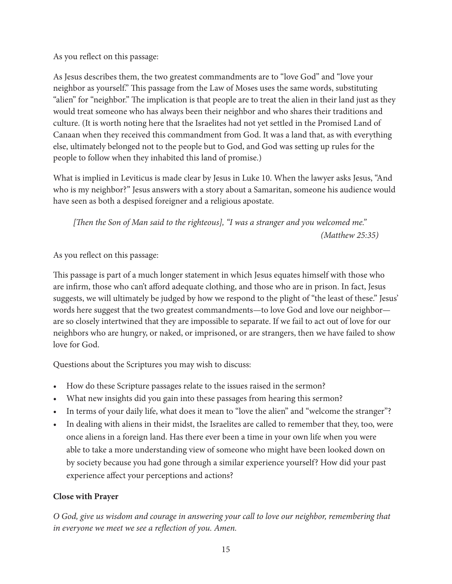As you reflect on this passage:

As Jesus describes them, the two greatest commandments are to "love God" and "love your neighbor as yourself." This passage from the Law of Moses uses the same words, substituting "alien" for "neighbor." The implication is that people are to treat the alien in their land just as they would treat someone who has always been their neighbor and who shares their traditions and culture. (It is worth noting here that the Israelites had not yet settled in the Promised Land of Canaan when they received this commandment from God. It was a land that, as with everything else, ultimately belonged not to the people but to God, and God was setting up rules for the people to follow when they inhabited this land of promise.)

What is implied in Leviticus is made clear by Jesus in Luke 10. When the lawyer asks Jesus, "And who is my neighbor?" Jesus answers with a story about a Samaritan, someone his audience would have seen as both a despised foreigner and a religious apostate.

*[Then the Son of Man said to the righteous], "I was a stranger and you welcomed me." (Matthew 25:35)*

As you reflect on this passage:

This passage is part of a much longer statement in which Jesus equates himself with those who are infirm, those who can't afford adequate clothing, and those who are in prison. In fact, Jesus suggests, we will ultimately be judged by how we respond to the plight of "the least of these." Jesus' words here suggest that the two greatest commandments—to love God and love our neighbor are so closely intertwined that they are impossible to separate. If we fail to act out of love for our neighbors who are hungry, or naked, or imprisoned, or are strangers, then we have failed to show love for God.

Questions about the Scriptures you may wish to discuss:

- How do these Scripture passages relate to the issues raised in the sermon?
- What new insights did you gain into these passages from hearing this sermon?
- In terms of your daily life, what does it mean to "love the alien" and "welcome the stranger"?
- In dealing with aliens in their midst, the Israelites are called to remember that they, too, were once aliens in a foreign land. Has there ever been a time in your own life when you were able to take a more understanding view of someone who might have been looked down on by society because you had gone through a similar experience yourself? How did your past experience affect your perceptions and actions?

#### **Close with Prayer**

*O God, give us wisdom and courage in answering your call to love our neighbor, remembering that in everyone we meet we see a reflection of you. Amen.*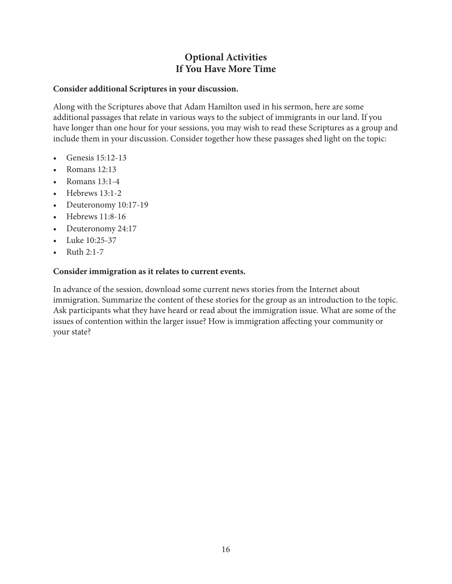## **Optional Activities If You Have More Time**

#### **Consider additional Scriptures in your discussion.**

Along with the Scriptures above that Adam Hamilton used in his sermon, here are some additional passages that relate in various ways to the subject of immigrants in our land. If you have longer than one hour for your sessions, you may wish to read these Scriptures as a group and include them in your discussion. Consider together how these passages shed light on the topic:

- Genesis 15:12-13
- Romans 12:13
- Romans 13:1-4
- Hebrews 13:1-2
- Deuteronomy 10:17-19
- Hebrews 11:8-16
- Deuteronomy 24:17
- Luke 10:25-37
- Ruth 2:1-7

#### **Consider immigration as it relates to current events.**

In advance of the session, download some current news stories from the Internet about immigration. Summarize the content of these stories for the group as an introduction to the topic. Ask participants what they have heard or read about the immigration issue. What are some of the issues of contention within the larger issue? How is immigration affecting your community or your state?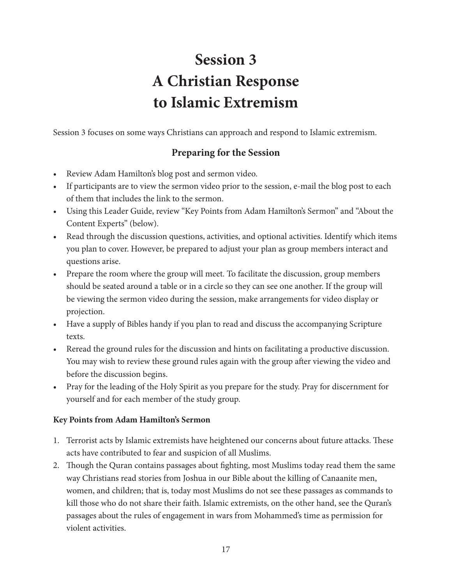## **Session 3 A Christian Response to Islamic Extremism**

Session 3 focuses on some ways Christians can approach and respond to Islamic extremism.

## **Preparing for the Session**

- Review Adam Hamilton's blog post and sermon video.
- If participants are to view the sermon video prior to the session, e-mail the blog post to each of them that includes the link to the sermon.
- Using this Leader Guide, review "Key Points from Adam Hamilton's Sermon" and "About the Content Experts" (below).
- Read through the discussion questions, activities, and optional activities. Identify which items you plan to cover. However, be prepared to adjust your plan as group members interact and questions arise.
- Prepare the room where the group will meet. To facilitate the discussion, group members should be seated around a table or in a circle so they can see one another. If the group will be viewing the sermon video during the session, make arrangements for video display or projection.
- Have a supply of Bibles handy if you plan to read and discuss the accompanying Scripture texts.
- Reread the ground rules for the discussion and hints on facilitating a productive discussion. You may wish to review these ground rules again with the group after viewing the video and before the discussion begins.
- Pray for the leading of the Holy Spirit as you prepare for the study. Pray for discernment for yourself and for each member of the study group.

#### **Key Points from Adam Hamilton's Sermon**

- 1. Terrorist acts by Islamic extremists have heightened our concerns about future attacks. These acts have contributed to fear and suspicion of all Muslims.
- 2. Though the Quran contains passages about fighting, most Muslims today read them the same way Christians read stories from Joshua in our Bible about the killing of Canaanite men, women, and children; that is, today most Muslims do not see these passages as commands to kill those who do not share their faith. Islamic extremists, on the other hand, see the Quran's passages about the rules of engagement in wars from Mohammed's time as permission for violent activities.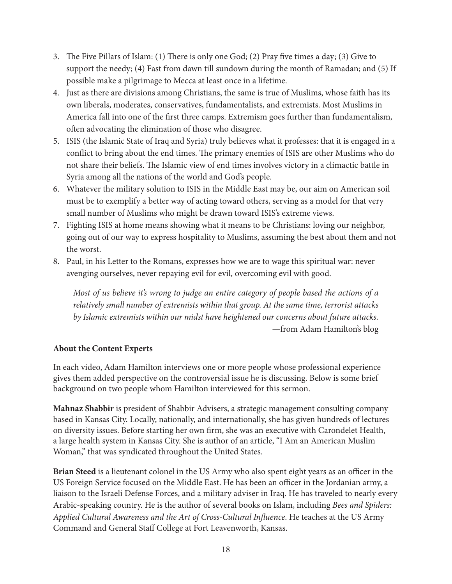- 3. The Five Pillars of Islam: (1) There is only one God; (2) Pray five times a day; (3) Give to support the needy; (4) Fast from dawn till sundown during the month of Ramadan; and (5) If possible make a pilgrimage to Mecca at least once in a lifetime.
- 4. Just as there are divisions among Christians, the same is true of Muslims, whose faith has its own liberals, moderates, conservatives, fundamentalists, and extremists. Most Muslims in America fall into one of the first three camps. Extremism goes further than fundamentalism, often advocating the elimination of those who disagree.
- 5. ISIS (the Islamic State of Iraq and Syria) truly believes what it professes: that it is engaged in a conflict to bring about the end times. The primary enemies of ISIS are other Muslims who do not share their beliefs. The Islamic view of end times involves victory in a climactic battle in Syria among all the nations of the world and God's people.
- 6. Whatever the military solution to ISIS in the Middle East may be, our aim on American soil must be to exemplify a better way of acting toward others, serving as a model for that very small number of Muslims who might be drawn toward ISIS's extreme views.
- 7. Fighting ISIS at home means showing what it means to be Christians: loving our neighbor, going out of our way to express hospitality to Muslims, assuming the best about them and not the worst.
- 8. Paul, in his Letter to the Romans, expresses how we are to wage this spiritual war: never avenging ourselves, never repaying evil for evil, overcoming evil with good.

*Most of us believe it's wrong to judge an entire category of people based the actions of a relatively small number of extremists within that group. At the same time, terrorist attacks by Islamic extremists within our midst have heightened our concerns about future attacks.* —from Adam Hamilton's blog

#### **About the Content Experts**

In each video, Adam Hamilton interviews one or more people whose professional experience gives them added perspective on the controversial issue he is discussing. Below is some brief background on two people whom Hamilton interviewed for this sermon.

**Mahnaz Shabbir** is president of Shabbir Advisers, a strategic management consulting company based in Kansas City. Locally, nationally, and internationally, she has given hundreds of lectures on diversity issues. Before starting her own firm, she was an executive with Carondelet Health, a large health system in Kansas City. She is author of an article, "I Am an American Muslim Woman," that was syndicated throughout the United States.

**Brian Steed** is a lieutenant colonel in the US Army who also spent eight years as an officer in the US Foreign Service focused on the Middle East. He has been an officer in the Jordanian army, a liaison to the Israeli Defense Forces, and a military adviser in Iraq. He has traveled to nearly every Arabic-speaking country. He is the author of several books on Islam, including *Bees and Spiders: Applied Cultural Awareness and the Art of Cross-Cultural Influence*. He teaches at the US Army Command and General Staff College at Fort Leavenworth, Kansas.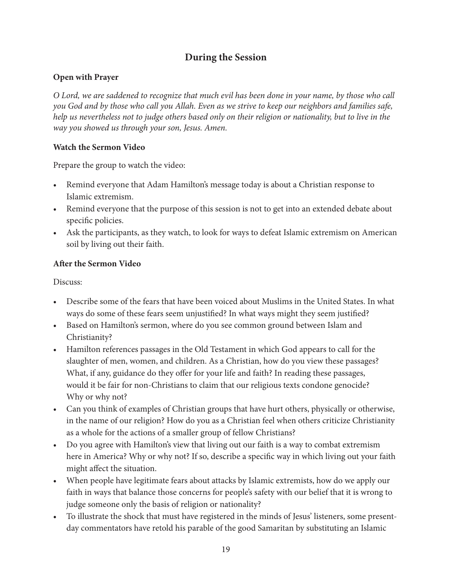### **During the Session**

#### **Open with Prayer**

*O Lord, we are saddened to recognize that much evil has been done in your name, by those who call you God and by those who call you Allah. Even as we strive to keep our neighbors and families safe, help us nevertheless not to judge others based only on their religion or nationality, but to live in the way you showed us through your son, Jesus. Amen.*

#### **Watch the Sermon Video**

Prepare the group to watch the video:

- Remind everyone that Adam Hamilton's message today is about a Christian response to Islamic extremism.
- Remind everyone that the purpose of this session is not to get into an extended debate about specific policies.
- Ask the participants, as they watch, to look for ways to defeat Islamic extremism on American soil by living out their faith.

#### **After the Sermon Video**

Discuss:

- Describe some of the fears that have been voiced about Muslims in the United States. In what ways do some of these fears seem unjustified? In what ways might they seem justified?
- Based on Hamilton's sermon, where do you see common ground between Islam and Christianity?
- Hamilton references passages in the Old Testament in which God appears to call for the slaughter of men, women, and children. As a Christian, how do you view these passages? What, if any, guidance do they offer for your life and faith? In reading these passages, would it be fair for non-Christians to claim that our religious texts condone genocide? Why or why not?
- Can you think of examples of Christian groups that have hurt others, physically or otherwise, in the name of our religion? How do you as a Christian feel when others criticize Christianity as a whole for the actions of a smaller group of fellow Christians?
- Do you agree with Hamilton's view that living out our faith is a way to combat extremism here in America? Why or why not? If so, describe a specific way in which living out your faith might affect the situation.
- When people have legitimate fears about attacks by Islamic extremists, how do we apply our faith in ways that balance those concerns for people's safety with our belief that it is wrong to judge someone only the basis of religion or nationality?
- To illustrate the shock that must have registered in the minds of Jesus' listeners, some presentday commentators have retold his parable of the good Samaritan by substituting an Islamic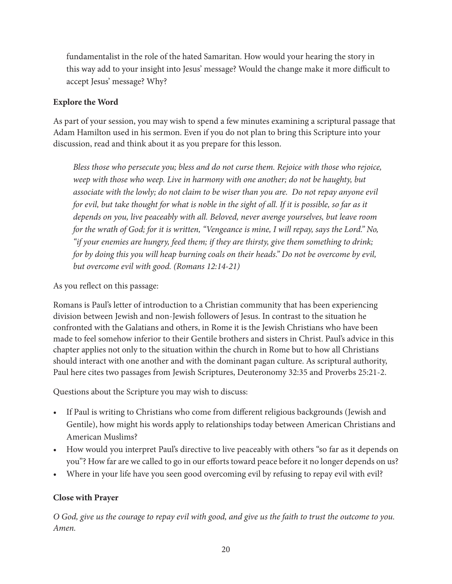fundamentalist in the role of the hated Samaritan. How would your hearing the story in this way add to your insight into Jesus' message? Would the change make it more difficult to accept Jesus' message? Why?

#### **Explore the Word**

As part of your session, you may wish to spend a few minutes examining a scriptural passage that Adam Hamilton used in his sermon. Even if you do not plan to bring this Scripture into your discussion, read and think about it as you prepare for this lesson.

*Bless those who persecute you; bless and do not curse them. Rejoice with those who rejoice, weep with those who weep. Live in harmony with one another; do not be haughty, but associate with the lowly; do not claim to be wiser than you are. Do not repay anyone evil for evil, but take thought for what is noble in the sight of all. If it is possible, so far as it depends on you, live peaceably with all. Beloved, never avenge yourselves, but leave room for the wrath of God; for it is written, "Vengeance is mine, I will repay, says the Lord." No, "if your enemies are hungry, feed them; if they are thirsty, give them something to drink; for by doing this you will heap burning coals on their heads." Do not be overcome by evil, but overcome evil with good. (Romans 12:14-21)*

As you reflect on this passage:

Romans is Paul's letter of introduction to a Christian community that has been experiencing division between Jewish and non-Jewish followers of Jesus. In contrast to the situation he confronted with the Galatians and others, in Rome it is the Jewish Christians who have been made to feel somehow inferior to their Gentile brothers and sisters in Christ. Paul's advice in this chapter applies not only to the situation within the church in Rome but to how all Christians should interact with one another and with the dominant pagan culture. As scriptural authority, Paul here cites two passages from Jewish Scriptures, Deuteronomy 32:35 and Proverbs 25:21-2.

Questions about the Scripture you may wish to discuss:

- If Paul is writing to Christians who come from different religious backgrounds (Jewish and Gentile), how might his words apply to relationships today between American Christians and American Muslims?
- How would you interpret Paul's directive to live peaceably with others "so far as it depends on you"? How far are we called to go in our efforts toward peace before it no longer depends on us?
- Where in your life have you seen good overcoming evil by refusing to repay evil with evil?

#### **Close with Prayer**

*O God, give us the courage to repay evil with good, and give us the faith to trust the outcome to you. Amen.*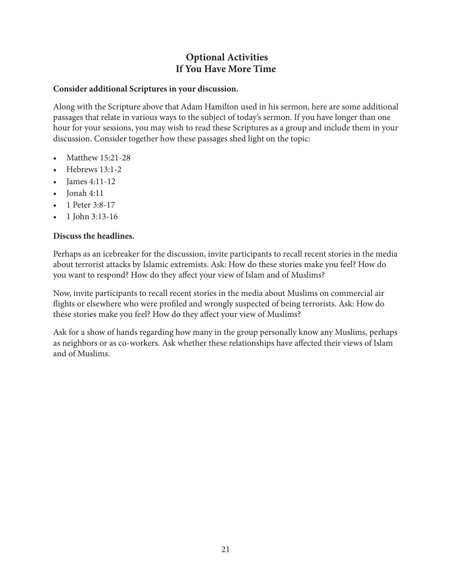## **Optional Activities If You Have More Time**

#### **Consider additional Scriptures in your discussion.**

Along with the Scripture above that Adam Hamilton used in his sermon, here are some additional passages that relate in various ways to the subject of today's sermon. If you have longer than one hour for your sessions, you may wish to read these Scriptures as a group and include them in your discussion. Consider together how these passages shed light on the topic:

- Matthew 15:21-28
- Hebrews 13:1-2
- James 4:11-12
- Jonah 4:11
- 1 Peter 3:8-17
- 1 John 3:13-16

#### **Discuss the headlines.**

Perhaps as an icebreaker for the discussion, invite participants to recall recent stories in the media about terrorist attacks by Islamic extremists. Ask: How do these stories make you feel? How do you want to respond? How do they affect your view of Islam and of Muslims?

Now, invite participants to recall recent stories in the media about Muslims on commercial air flights or elsewhere who were profiled and wrongly suspected of being terrorists. Ask: How do these stories make you feel? How do they affect your view of Muslims?

Ask for a show of hands regarding how many in the group personally know any Muslims, perhaps as neighbors or as co-workers. Ask whether these relationships have affected their views of Islam and of Muslims.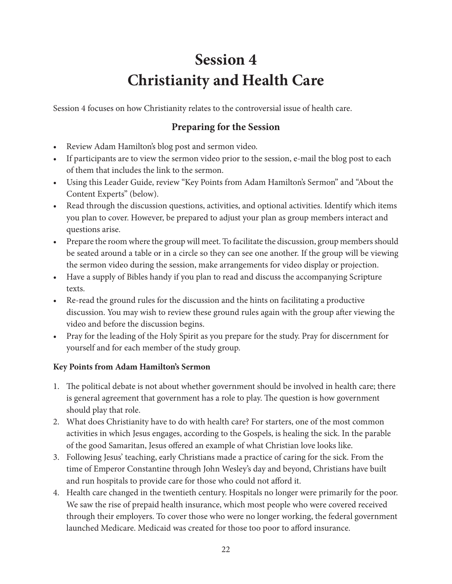## **Session 4 Christianity and Health Care**

Session 4 focuses on how Christianity relates to the controversial issue of health care.

## **Preparing for the Session**

- Review Adam Hamilton's blog post and sermon video.
- If participants are to view the sermon video prior to the session, e-mail the blog post to each of them that includes the link to the sermon.
- Using this Leader Guide, review "Key Points from Adam Hamilton's Sermon" and "About the Content Experts" (below).
- Read through the discussion questions, activities, and optional activities. Identify which items you plan to cover. However, be prepared to adjust your plan as group members interact and questions arise.
- Prepare the room where the group will meet. To facilitate the discussion, group members should be seated around a table or in a circle so they can see one another. If the group will be viewing the sermon video during the session, make arrangements for video display or projection.
- Have a supply of Bibles handy if you plan to read and discuss the accompanying Scripture texts.
- Re-read the ground rules for the discussion and the hints on facilitating a productive discussion. You may wish to review these ground rules again with the group after viewing the video and before the discussion begins.
- Pray for the leading of the Holy Spirit as you prepare for the study. Pray for discernment for yourself and for each member of the study group.

#### **Key Points from Adam Hamilton's Sermon**

- 1. The political debate is not about whether government should be involved in health care; there is general agreement that government has a role to play. The question is how government should play that role.
- 2. What does Christianity have to do with health care? For starters, one of the most common activities in which Jesus engages, according to the Gospels, is healing the sick. In the parable of the good Samaritan, Jesus offered an example of what Christian love looks like.
- 3. Following Jesus' teaching, early Christians made a practice of caring for the sick. From the time of Emperor Constantine through John Wesley's day and beyond, Christians have built and run hospitals to provide care for those who could not afford it.
- 4. Health care changed in the twentieth century. Hospitals no longer were primarily for the poor. We saw the rise of prepaid health insurance, which most people who were covered received through their employers. To cover those who were no longer working, the federal government launched Medicare. Medicaid was created for those too poor to afford insurance.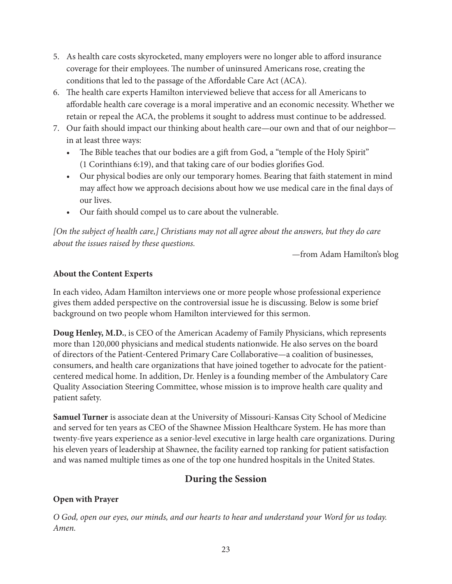- 5. As health care costs skyrocketed, many employers were no longer able to afford insurance coverage for their employees. The number of uninsured Americans rose, creating the conditions that led to the passage of the Affordable Care Act (ACA).
- 6. The health care experts Hamilton interviewed believe that access for all Americans to affordable health care coverage is a moral imperative and an economic necessity. Whether we retain or repeal the ACA, the problems it sought to address must continue to be addressed.
- 7. Our faith should impact our thinking about health care—our own and that of our neighbor in at least three ways:
	- The Bible teaches that our bodies are a gift from God, a "temple of the Holy Spirit" (1 Corinthians 6:19), and that taking care of our bodies glorifies God.
	- Our physical bodies are only our temporary homes. Bearing that faith statement in mind may affect how we approach decisions about how we use medical care in the final days of our lives.
	- Our faith should compel us to care about the vulnerable.

*[On the subject of health care,] Christians may not all agree about the answers, but they do care about the issues raised by these questions.*

—from Adam Hamilton's blog

#### **About the Content Experts**

In each video, Adam Hamilton interviews one or more people whose professional experience gives them added perspective on the controversial issue he is discussing. Below is some brief background on two people whom Hamilton interviewed for this sermon.

**Doug Henley, M.D.**, is CEO of the American Academy of Family Physicians, which represents more than 120,000 physicians and medical students nationwide. He also serves on the board of directors of the Patient-Centered Primary Care Collaborative—a coalition of businesses, consumers, and health care organizations that have joined together to advocate for the patientcentered medical home. In addition, Dr. Henley is a founding member of the Ambulatory Care Quality Association Steering Committee, whose mission is to improve health care quality and patient safety.

**Samuel Turner** is associate dean at the University of Missouri-Kansas City School of Medicine and served for ten years as CEO of the Shawnee Mission Healthcare System. He has more than twenty-five years experience as a senior-level executive in large health care organizations. During his eleven years of leadership at Shawnee, the facility earned top ranking for patient satisfaction and was named multiple times as one of the top one hundred hospitals in the United States.

## **During the Session**

### **Open with Prayer**

*O God, open our eyes, our minds, and our hearts to hear and understand your Word for us today. Amen.*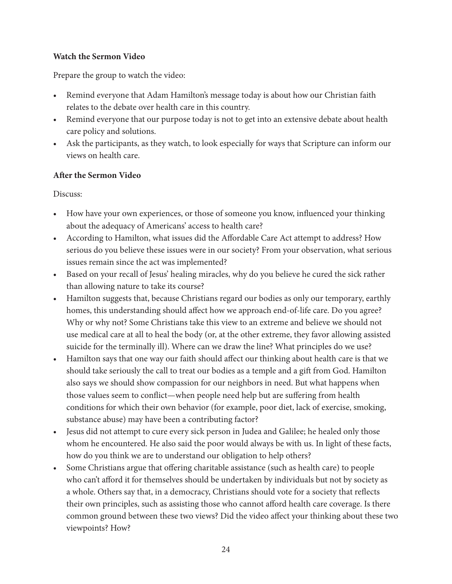#### **Watch the Sermon Video**

Prepare the group to watch the video:

- Remind everyone that Adam Hamilton's message today is about how our Christian faith relates to the debate over health care in this country.
- Remind everyone that our purpose today is not to get into an extensive debate about health care policy and solutions.
- Ask the participants, as they watch, to look especially for ways that Scripture can inform our views on health care.

#### **After the Sermon Video**

Discuss:

- How have your own experiences, or those of someone you know, influenced your thinking about the adequacy of Americans' access to health care?
- According to Hamilton, what issues did the Affordable Care Act attempt to address? How serious do you believe these issues were in our society? From your observation, what serious issues remain since the act was implemented?
- Based on your recall of Jesus' healing miracles, why do you believe he cured the sick rather than allowing nature to take its course?
- Hamilton suggests that, because Christians regard our bodies as only our temporary, earthly homes, this understanding should affect how we approach end-of-life care. Do you agree? Why or why not? Some Christians take this view to an extreme and believe we should not use medical care at all to heal the body (or, at the other extreme, they favor allowing assisted suicide for the terminally ill). Where can we draw the line? What principles do we use?
- Hamilton says that one way our faith should affect our thinking about health care is that we should take seriously the call to treat our bodies as a temple and a gift from God. Hamilton also says we should show compassion for our neighbors in need. But what happens when those values seem to conflict—when people need help but are suffering from health conditions for which their own behavior (for example, poor diet, lack of exercise, smoking, substance abuse) may have been a contributing factor?
- Jesus did not attempt to cure every sick person in Judea and Galilee; he healed only those whom he encountered. He also said the poor would always be with us. In light of these facts, how do you think we are to understand our obligation to help others?
- Some Christians argue that offering charitable assistance (such as health care) to people who can't afford it for themselves should be undertaken by individuals but not by society as a whole. Others say that, in a democracy, Christians should vote for a society that reflects their own principles, such as assisting those who cannot afford health care coverage. Is there common ground between these two views? Did the video affect your thinking about these two viewpoints? How?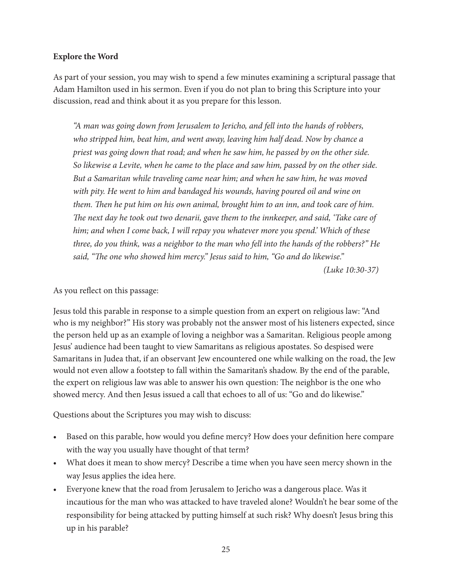#### **Explore the Word**

As part of your session, you may wish to spend a few minutes examining a scriptural passage that Adam Hamilton used in his sermon. Even if you do not plan to bring this Scripture into your discussion, read and think about it as you prepare for this lesson.

*"A man was going down from Jerusalem to Jericho, and fell into the hands of robbers, who stripped him, beat him, and went away, leaving him half dead. Now by chance a priest was going down that road; and when he saw him, he passed by on the other side. So likewise a Levite, when he came to the place and saw him, passed by on the other side. But a Samaritan while traveling came near him; and when he saw him, he was moved with pity. He went to him and bandaged his wounds, having poured oil and wine on them. Then he put him on his own animal, brought him to an inn, and took care of him. The next day he took out two denarii, gave them to the innkeeper, and said, 'Take care of him; and when I come back, I will repay you whatever more you spend.' Which of these three, do you think, was a neighbor to the man who fell into the hands of the robbers?" He said, "The one who showed him mercy." Jesus said to him, "Go and do likewise."* 

*(Luke 10:30-37)*

#### As you reflect on this passage:

Jesus told this parable in response to a simple question from an expert on religious law: "And who is my neighbor?" His story was probably not the answer most of his listeners expected, since the person held up as an example of loving a neighbor was a Samaritan. Religious people among Jesus' audience had been taught to view Samaritans as religious apostates. So despised were Samaritans in Judea that, if an observant Jew encountered one while walking on the road, the Jew would not even allow a footstep to fall within the Samaritan's shadow. By the end of the parable, the expert on religious law was able to answer his own question: The neighbor is the one who showed mercy. And then Jesus issued a call that echoes to all of us: "Go and do likewise."

Questions about the Scriptures you may wish to discuss:

- Based on this parable, how would you define mercy? How does your definition here compare with the way you usually have thought of that term?
- What does it mean to show mercy? Describe a time when you have seen mercy shown in the way Jesus applies the idea here.
- Everyone knew that the road from Jerusalem to Jericho was a dangerous place. Was it incautious for the man who was attacked to have traveled alone? Wouldn't he bear some of the responsibility for being attacked by putting himself at such risk? Why doesn't Jesus bring this up in his parable?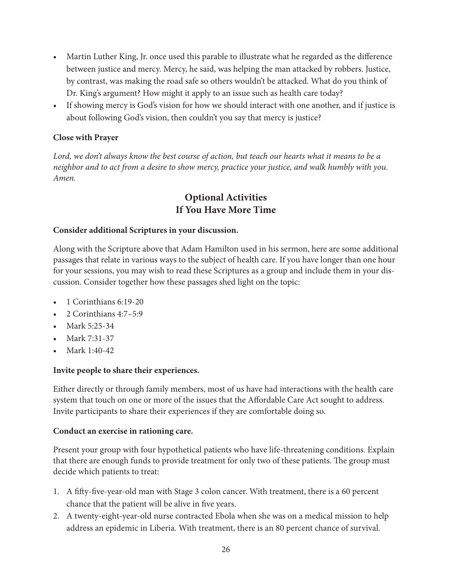- Martin Luther King, Jr. once used this parable to illustrate what he regarded as the difference between justice and mercy. Mercy, he said, was helping the man attacked by robbers. Justice, by contrast, was making the road safe so others wouldn't be attacked. What do you think of Dr. King's argument? How might it apply to an issue such as health care today?
- If showing mercy is God's vision for how we should interact with one another, and if justice is about following God's vision, then couldn't you say that mercy is justice?

#### **Close with Prayer**

*Lord, we don't always know the best course of action, but teach our hearts what it means to be a neighbor and to act from a desire to show mercy, practice your justice, and walk humbly with you. Amen.*

### **Optional Activities If You Have More Time**

#### **Consider additional Scriptures in your discussion.**

Along with the Scripture above that Adam Hamilton used in his sermon, here are some additional passages that relate in various ways to the subject of health care. If you have longer than one hour for your sessions, you may wish to read these Scriptures as a group and include them in your discussion. Consider together how these passages shed light on the topic:

- 1 Corinthians 6:19-20
- 2 Corinthians 4:7–5:9
- Mark 5:25-34
- Mark 7:31-37
- Mark 1:40-42

#### **Invite people to share their experiences.**

Either directly or through family members, most of us have had interactions with the health care system that touch on one or more of the issues that the Affordable Care Act sought to address. Invite participants to share their experiences if they are comfortable doing so.

#### **Conduct an exercise in rationing care.**

Present your group with four hypothetical patients who have life-threatening conditions. Explain that there are enough funds to provide treatment for only two of these patients. The group must decide which patients to treat:

- 1. A fifty-five-year-old man with Stage 3 colon cancer. With treatment, there is a 60 percent chance that the patient will be alive in five years.
- 2. A twenty-eight-year-old nurse contracted Ebola when she was on a medical mission to help address an epidemic in Liberia. With treatment, there is an 80 percent chance of survival.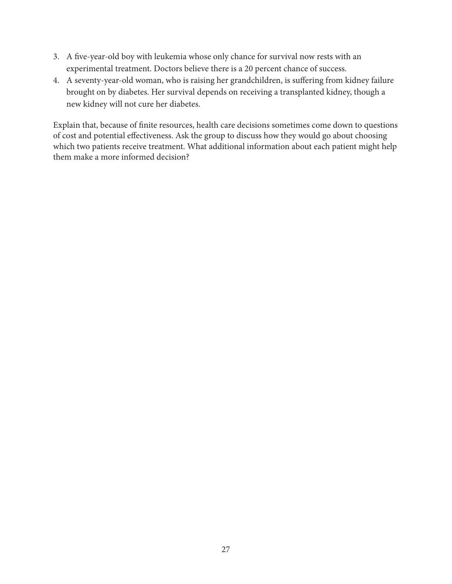- 3. A five-year-old boy with leukemia whose only chance for survival now rests with an experimental treatment. Doctors believe there is a 20 percent chance of success.
- 4. A seventy-year-old woman, who is raising her grandchildren, is suffering from kidney failure brought on by diabetes. Her survival depends on receiving a transplanted kidney, though a new kidney will not cure her diabetes.

Explain that, because of finite resources, health care decisions sometimes come down to questions of cost and potential effectiveness. Ask the group to discuss how they would go about choosing which two patients receive treatment. What additional information about each patient might help them make a more informed decision?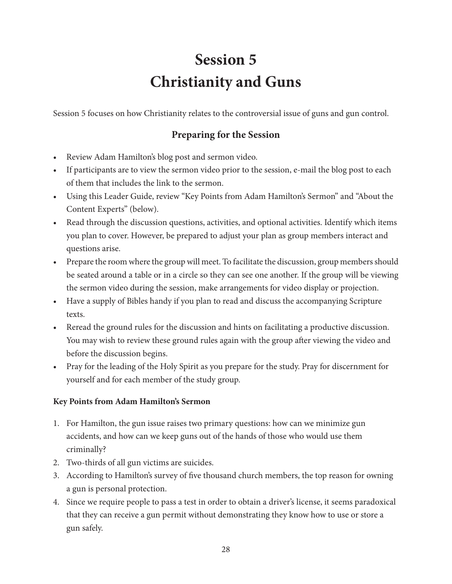## **Session 5 Christianity and Guns**

Session 5 focuses on how Christianity relates to the controversial issue of guns and gun control.

## **Preparing for the Session**

- Review Adam Hamilton's blog post and sermon video.
- If participants are to view the sermon video prior to the session, e-mail the blog post to each of them that includes the link to the sermon.
- Using this Leader Guide, review "Key Points from Adam Hamilton's Sermon" and "About the Content Experts" (below).
- Read through the discussion questions, activities, and optional activities. Identify which items you plan to cover. However, be prepared to adjust your plan as group members interact and questions arise.
- Prepare the room where the group will meet. To facilitate the discussion, group members should be seated around a table or in a circle so they can see one another. If the group will be viewing the sermon video during the session, make arrangements for video display or projection.
- Have a supply of Bibles handy if you plan to read and discuss the accompanying Scripture texts.
- Reread the ground rules for the discussion and hints on facilitating a productive discussion. You may wish to review these ground rules again with the group after viewing the video and before the discussion begins.
- Pray for the leading of the Holy Spirit as you prepare for the study. Pray for discernment for yourself and for each member of the study group.

#### **Key Points from Adam Hamilton's Sermon**

- 1. For Hamilton, the gun issue raises two primary questions: how can we minimize gun accidents, and how can we keep guns out of the hands of those who would use them criminally?
- 2. Two-thirds of all gun victims are suicides.
- 3. According to Hamilton's survey of five thousand church members, the top reason for owning a gun is personal protection.
- 4. Since we require people to pass a test in order to obtain a driver's license, it seems paradoxical that they can receive a gun permit without demonstrating they know how to use or store a gun safely.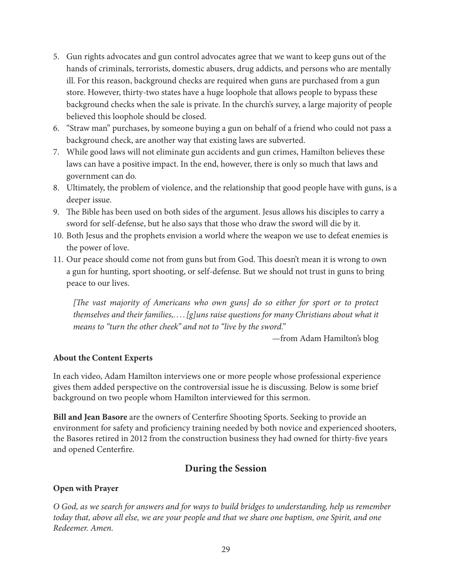- 5. Gun rights advocates and gun control advocates agree that we want to keep guns out of the hands of criminals, terrorists, domestic abusers, drug addicts, and persons who are mentally ill. For this reason, background checks are required when guns are purchased from a gun store. However, thirty-two states have a huge loophole that allows people to bypass these background checks when the sale is private. In the church's survey, a large majority of people believed this loophole should be closed.
- 6. "Straw man" purchases, by someone buying a gun on behalf of a friend who could not pass a background check, are another way that existing laws are subverted.
- 7. While good laws will not eliminate gun accidents and gun crimes, Hamilton believes these laws can have a positive impact. In the end, however, there is only so much that laws and government can do.
- 8. Ultimately, the problem of violence, and the relationship that good people have with guns, is a deeper issue.
- 9. The Bible has been used on both sides of the argument. Jesus allows his disciples to carry a sword for self-defense, but he also says that those who draw the sword will die by it.
- 10. Both Jesus and the prophets envision a world where the weapon we use to defeat enemies is the power of love.
- 11. Our peace should come not from guns but from God. This doesn't mean it is wrong to own a gun for hunting, sport shooting, or self-defense. But we should not trust in guns to bring peace to our lives.

*[The vast majority of Americans who own guns] do so either for sport or to protect themselves and their families,. . . .[g]uns raise questions for many Christians about what it means to "turn the other cheek" and not to "live by the sword."*

—from Adam Hamilton's blog

#### **About the Content Experts**

In each video, Adam Hamilton interviews one or more people whose professional experience gives them added perspective on the controversial issue he is discussing. Below is some brief background on two people whom Hamilton interviewed for this sermon.

**Bill and Jean Basore** are the owners of Centerfire Shooting Sports. Seeking to provide an environment for safety and proficiency training needed by both novice and experienced shooters, the Basores retired in 2012 from the construction business they had owned for thirty-five years and opened Centerfire.

#### **During the Session**

#### **Open with Prayer**

*O God, as we search for answers and for ways to build bridges to understanding, help us remember today that, above all else, we are your people and that we share one baptism, one Spirit, and one Redeemer. Amen.*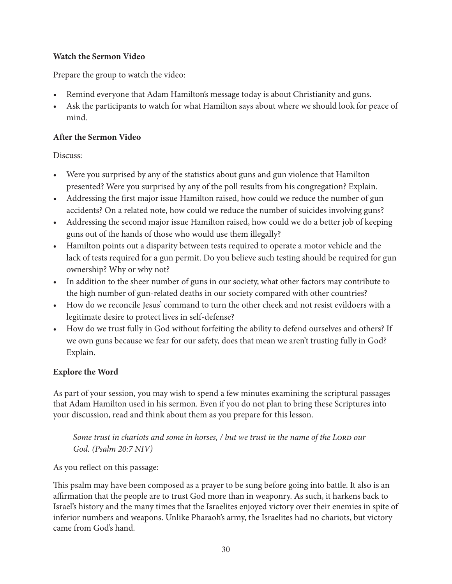#### **Watch the Sermon Video**

Prepare the group to watch the video:

- Remind everyone that Adam Hamilton's message today is about Christianity and guns.
- Ask the participants to watch for what Hamilton says about where we should look for peace of mind.

#### **After the Sermon Video**

Discuss:

- Were you surprised by any of the statistics about guns and gun violence that Hamilton presented? Were you surprised by any of the poll results from his congregation? Explain.
- Addressing the first major issue Hamilton raised, how could we reduce the number of gun accidents? On a related note, how could we reduce the number of suicides involving guns?
- Addressing the second major issue Hamilton raised, how could we do a better job of keeping guns out of the hands of those who would use them illegally?
- Hamilton points out a disparity between tests required to operate a motor vehicle and the lack of tests required for a gun permit. Do you believe such testing should be required for gun ownership? Why or why not?
- In addition to the sheer number of guns in our society, what other factors may contribute to the high number of gun-related deaths in our society compared with other countries?
- How do we reconcile Jesus' command to turn the other cheek and not resist evildoers with a legitimate desire to protect lives in self-defense?
- How do we trust fully in God without forfeiting the ability to defend ourselves and others? If we own guns because we fear for our safety, does that mean we aren't trusting fully in God? Explain.

#### **Explore the Word**

As part of your session, you may wish to spend a few minutes examining the scriptural passages that Adam Hamilton used in his sermon. Even if you do not plan to bring these Scriptures into your discussion, read and think about them as you prepare for this lesson.

*Some trust in chariots and some in horses, / but we trust in the name of the LORD our God. (Psalm 20:7 NIV)*

As you reflect on this passage:

This psalm may have been composed as a prayer to be sung before going into battle. It also is an affirmation that the people are to trust God more than in weaponry. As such, it harkens back to Israel's history and the many times that the Israelites enjoyed victory over their enemies in spite of inferior numbers and weapons. Unlike Pharaoh's army, the Israelites had no chariots, but victory came from God's hand.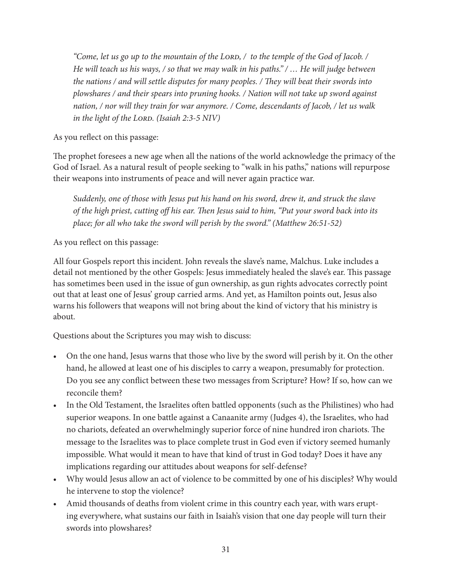*"Come, let us go up to the mountain of the LORD, / to the temple of the God of Jacob. / He will teach us his ways, / so that we may walk in his paths." / … He will judge between the nations / and will settle disputes for many peoples. / They will beat their swords into plowshares / and their spears into pruning hooks. / Nation will not take up sword against nation, / nor will they train for war anymore. / Come, descendants of Jacob, / let us walk in the light of the LORD. (Isaiah 2:3-5 NIV)* 

As you reflect on this passage:

The prophet foresees a new age when all the nations of the world acknowledge the primacy of the God of Israel. As a natural result of people seeking to "walk in his paths," nations will repurpose their weapons into instruments of peace and will never again practice war.

*Suddenly, one of those with Jesus put his hand on his sword, drew it, and struck the slave of the high priest, cutting off his ear. Then Jesus said to him, "Put your sword back into its place; for all who take the sword will perish by the sword." (Matthew 26:51-52)*

As you reflect on this passage:

All four Gospels report this incident. John reveals the slave's name, Malchus. Luke includes a detail not mentioned by the other Gospels: Jesus immediately healed the slave's ear. This passage has sometimes been used in the issue of gun ownership, as gun rights advocates correctly point out that at least one of Jesus' group carried arms. And yet, as Hamilton points out, Jesus also warns his followers that weapons will not bring about the kind of victory that his ministry is about.

Questions about the Scriptures you may wish to discuss:

- On the one hand, Jesus warns that those who live by the sword will perish by it. On the other hand, he allowed at least one of his disciples to carry a weapon, presumably for protection. Do you see any conflict between these two messages from Scripture? How? If so, how can we reconcile them?
- In the Old Testament, the Israelites often battled opponents (such as the Philistines) who had superior weapons. In one battle against a Canaanite army (Judges 4), the Israelites, who had no chariots, defeated an overwhelmingly superior force of nine hundred iron chariots. The message to the Israelites was to place complete trust in God even if victory seemed humanly impossible. What would it mean to have that kind of trust in God today? Does it have any implications regarding our attitudes about weapons for self-defense?
- Why would Jesus allow an act of violence to be committed by one of his disciples? Why would he intervene to stop the violence?
- Amid thousands of deaths from violent crime in this country each year, with wars erupting everywhere, what sustains our faith in Isaiah's vision that one day people will turn their swords into plowshares?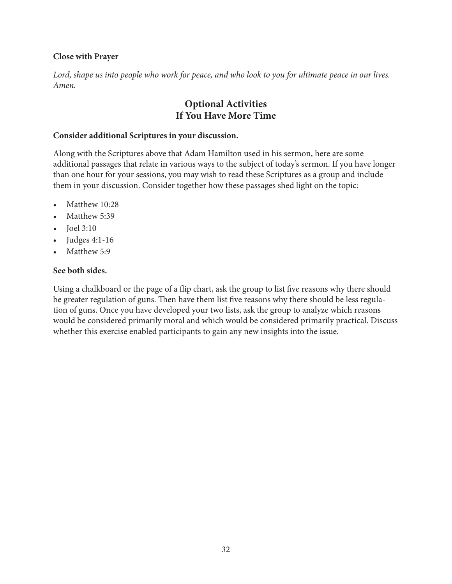#### **Close with Prayer**

*Lord, shape us into people who work for peace, and who look to you for ultimate peace in our lives. Amen.*

### **Optional Activities If You Have More Time**

#### **Consider additional Scriptures in your discussion.**

Along with the Scriptures above that Adam Hamilton used in his sermon, here are some additional passages that relate in various ways to the subject of today's sermon. If you have longer than one hour for your sessions, you may wish to read these Scriptures as a group and include them in your discussion. Consider together how these passages shed light on the topic:

- Matthew 10:28
- Matthew 5:39
- Joel 3:10
- Judges 4:1-16
- Matthew 5:9

#### **See both sides.**

Using a chalkboard or the page of a flip chart, ask the group to list five reasons why there should be greater regulation of guns. Then have them list five reasons why there should be less regulation of guns. Once you have developed your two lists, ask the group to analyze which reasons would be considered primarily moral and which would be considered primarily practical. Discuss whether this exercise enabled participants to gain any new insights into the issue.